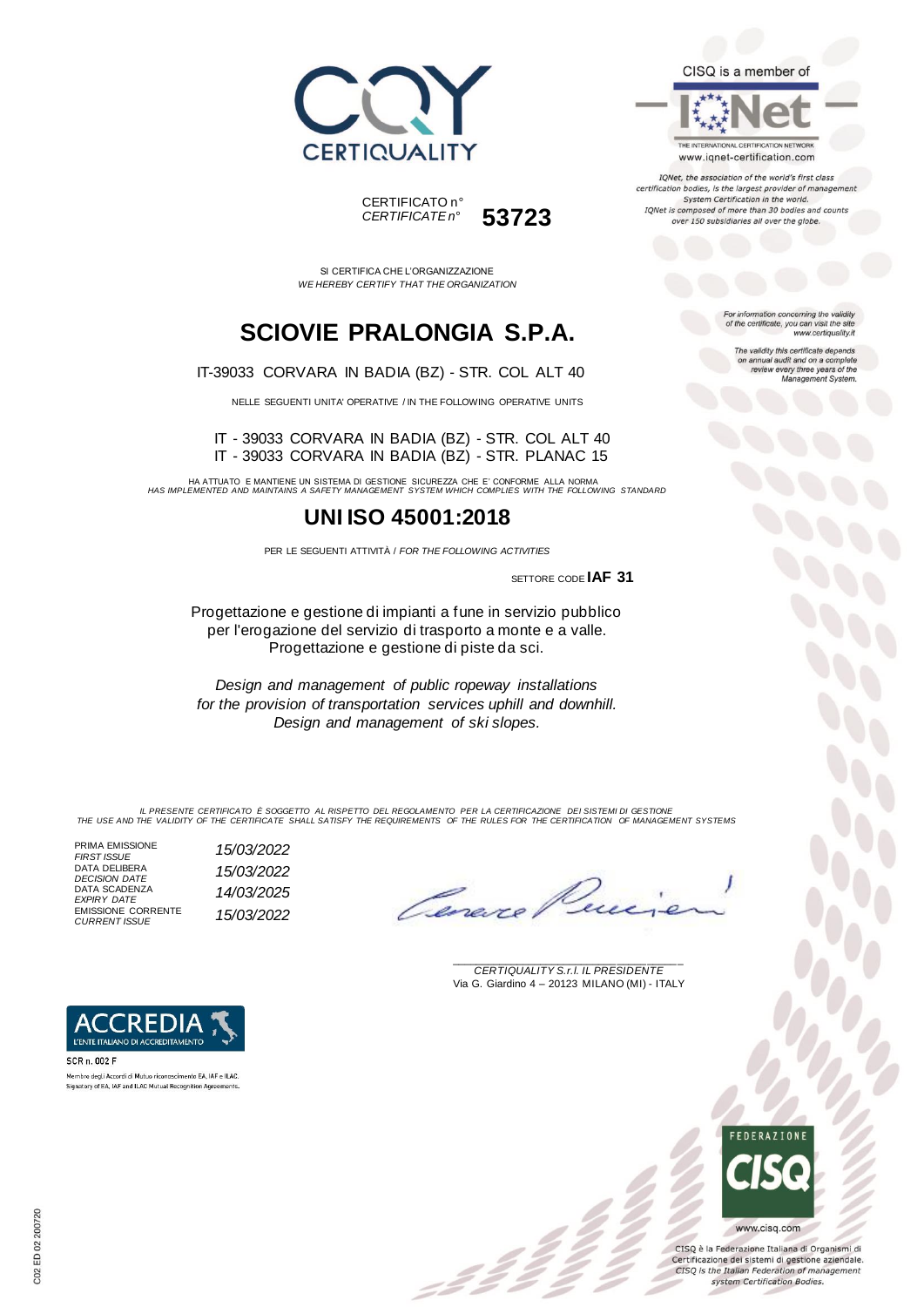



SI CERTIFICA CHE L'ORGANIZZAZIONE *WE HEREBY CERTIFY THAT THE ORGANIZATION*

## **SCIOVIE PRALONGIA S.P.A.**

IT-39033 CORVARA IN BADIA (BZ) - STR. COL ALT 40

NELLE SEGUENTI UNITA' OPERATIVE / IN THE FOLLOWING OPERATIVE UNITS

IT - 39033 CORVARA IN BADIA (BZ) - STR. COL ALT 40 IT - 39033 CORVARA IN BADIA (BZ) - STR. PLANAC 15

HA ATTUATO E MANTIENE UN SISTEMA DI GESTIONE SICUREZZA CHE E' CONFORME ALLA NORMA *HAS IMPLEMENTED AND MAINTAINS A SAFETY MANAGEMENT SYSTEM WHICH COMPLIES WITH THE FOLLOWING STANDARD*

### **UNI ISO 45001:2018**

PER LE SEGUENTI ATTIVITÀ / *FOR THE FOLLOWING ACTIVITIES*

SETTORE CODE **IAF 31**

Progettazione e gestione di impianti a fune in servizio pubblico per l'erogazione del servizio di trasporto a monte e a valle. Progettazione e gestione di piste da sci.

*Design and management of public ropeway installations for the provision of transportation services uphill and downhill. Design and management of ski slopes.*

IL PRESENTE CERTIFICATO E SOGGETTO AL RISPETTO DEL REGOLAMENTO PER LA CERTIFICAZIONE DEI SISTEMI DI GESTIONE<br>THE USE AND THE VALIDITY OF THE CERTIFICATE SHALL SATISFY THE REQUIREMENTS OF THE RULES FOR THE CERTIFICATION OF

PRIMA EMISSIONE<br>FIRST ISSUE DATA DELIBERA *DECISION DATE 15/03/2022* DATA SCADENZA *EXPIRY DATE 14/03/2025* EMISSIONE CORRENTE

L'ENTE ITALIANO DI ACCREDITAMENTO

Membro degli Accordi di Mutuo riconoscimento EA JAE e ILAC. Signatory of EA, IAF and ILAC Mutual Recognition Agreements.

SCR n. 002 F

*FIRST ISSUE 15/03/2022 CURRENT ISSUE 15/03/2022*



\_\_\_\_\_\_\_\_\_\_\_\_\_\_\_\_\_\_\_\_\_\_\_\_\_\_\_\_\_\_\_\_\_\_\_\_\_\_\_ *CERTIQUALITY S.r.l. IL PRESIDENTE* Via G. Giardino 4 – 20123 MILANO (MI) - ITALY

### CISQ is a member of

THE INTERNATIONAL CERTIFICATION NETWORK www.iqnet-certification.com

IQNet, the association of the world's first class certification bodies, is the largest provider of managen System Certification in the world. IQNet is composed of more than 30 bodies and counts over 150 subsidiaries all over the globe.

> For information concerning the validity<br>of the certificate, you can visit the site www.certiquality.it

> > The validity this certificate depends on annual audit and on a complete<br>review every three years of the<br>Management System.



CISQ è la Federazione Italiana di Organismi di Certificazione dei sistemi di gestione aziendale. CISQ is the Italian Federation of management system Certification Bodies.